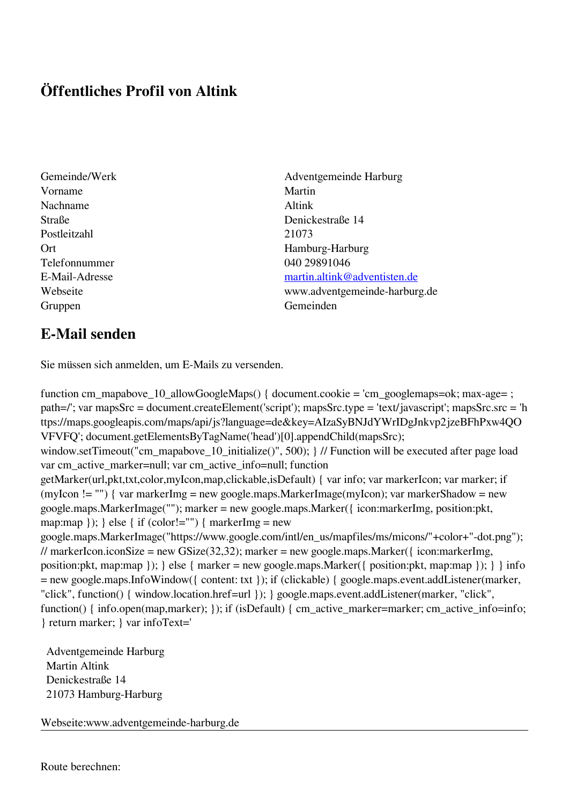## **Öffentliches Profil von Altink**

- Vorname Martin Nachname Altink Postleitzahl 21073 Telefonnummer 040 29891046 Gruppen Gemeinden Gemeinden Gemeinden Gemeinden Gemeinden Gemeinden Gemeinden Gemeinden Gemeinden Gemeinden G
- Gemeinde/Werk Adventgemeinde Harburg Straße Denickestraße 14 Ort Hamburg-Harburg E-Mail-Adresse [martin.altink@adventisten.de](mailto:martin.altink@adventisten.de) Webseite www.adventgemeinde-harburg.de

## **E-Mail senden**

Sie müssen sich anmelden, um E-Mails zu versenden.

function cm\_mapabove\_10\_allowGoogleMaps() { document.cookie = 'cm\_googlemaps=ok; max-age= ; path=/'; var mapsSrc = document.createElement('script'); mapsSrc.type = 'text/javascript'; mapsSrc.src = 'h ttps://maps.googleapis.com/maps/api/js?language=de&key=AIzaSyBNJdYWrIDgJnkvp2jzeBFhPxw4QO VFVFQ'; document.getElementsByTagName('head')[0].appendChild(mapsSrc); window.setTimeout("cm\_mapabove\_10\_initialize()", 500); } // Function will be executed after page load var cm\_active\_marker=null; var cm\_active\_info=null; function getMarker(url,pkt,txt,color,myIcon,map,clickable,isDefault) { var info; var markerIcon; var marker; if (myIcon != "") { var markerImg = new google.maps.MarkerImage(myIcon); var markerShadow = new google.maps.MarkerImage(""); marker = new google.maps.Marker({ icon:markerImg, position:pkt, map:map  $\}$ ;  $\}$  else  $\{$  if (color!="")  $\{$  markerImg = new google.maps.MarkerImage("https://www.google.com/intl/en\_us/mapfiles/ms/micons/"+color+"-dot.png"); // markerIcon.iconSize = new GSize(32,32); marker = new google.maps.Marker({ $i$ con:markerImg, position:pkt, map:map }); } else { marker = new google.maps.Marker({ position:pkt, map:map }); } } info = new google.maps.InfoWindow({ content: txt }); if (clickable) { google.maps.event.addListener(marker, "click", function() { window.location.href=url }); } google.maps.event.addListener(marker, "click", function() { info.open(map,marker); }); if (isDefault) { cm\_active\_marker=marker; cm\_active\_info=info; } return marker; } var infoText='

 Adventgemeinde Harburg Martin Altink Denickestraße 14 21073 Hamburg-Harburg

Webseite:www.adventgemeinde-harburg.de